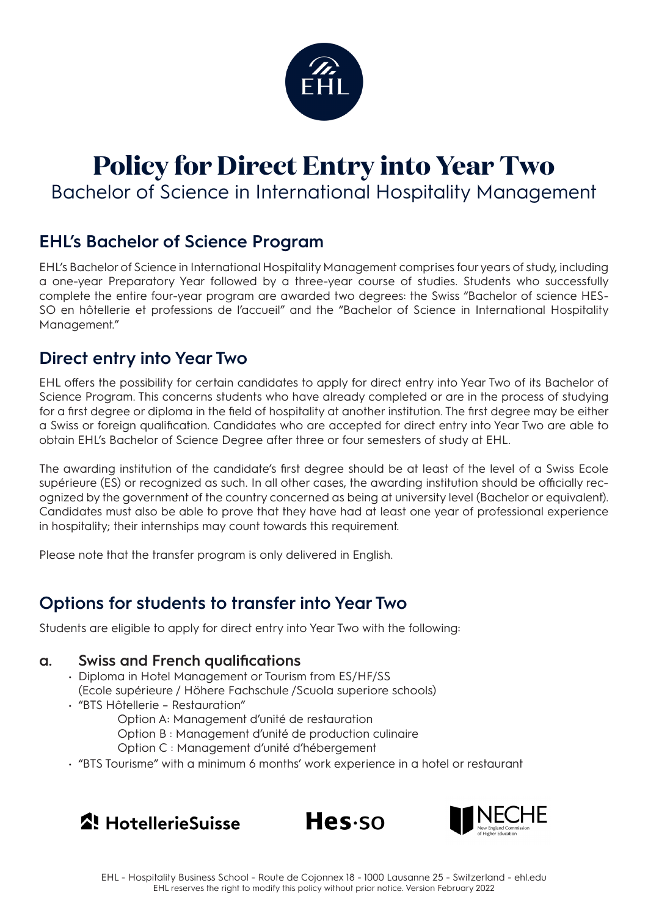

# **Policy for Direct Entry into Year Two** Bachelor of Science in International Hospitality Management

## **EHL's Bachelor of Science Program**

EHL's Bachelor of Science in International Hospitality Management comprises four years of study, including a one-year Preparatory Year followed by a three-year course of studies. Students who successfully complete the entire four-year program are awarded two degrees: the Swiss "Bachelor of science HES-SO en hôtellerie et professions de l'accueil" and the "Bachelor of Science in International Hospitality Management."

## **Direct entry into Year Two**

EHL offers the possibility for certain candidates to apply for direct entry into Year Two of its Bachelor of Science Program. This concerns students who have already completed or are in the process of studying for a first degree or diploma in the field of hospitality at another institution. The first degree may be either a Swiss or foreign qualification. Candidates who are accepted for direct entry into Year Two are able to obtain EHL's Bachelor of Science Degree after three or four semesters of study at EHL.

The awarding institution of the candidate's first degree should be at least of the level of a Swiss Ecole supérieure (ES) or recognized as such. In all other cases, the awarding institution should be officially recognized by the government of the country concerned as being at university level (Bachelor or equivalent). Candidates must also be able to prove that they have had at least one year of professional experience in hospitality; their internships may count towards this requirement.

Please note that the transfer program is only delivered in English.

## **Options for students to transfer into Year Two**

Students are eligible to apply for direct entry into Year Two with the following:

#### **a. Swiss and French qualifications**

- Diploma in Hotel Management or Tourism from ES/HF/SS (Ecole supérieure / Höhere Fachschule /Scuola superiore schools)
- "BTS Hôtellerie Restauration"
	- Option A: Management d'unité de restauration
	- Option B : Management d'unité de production culinaire
	- Option C : Management d'unité d'hébergement
- "BTS Tourisme" with a minimum 6 months' work experience in a hotel or restaurant





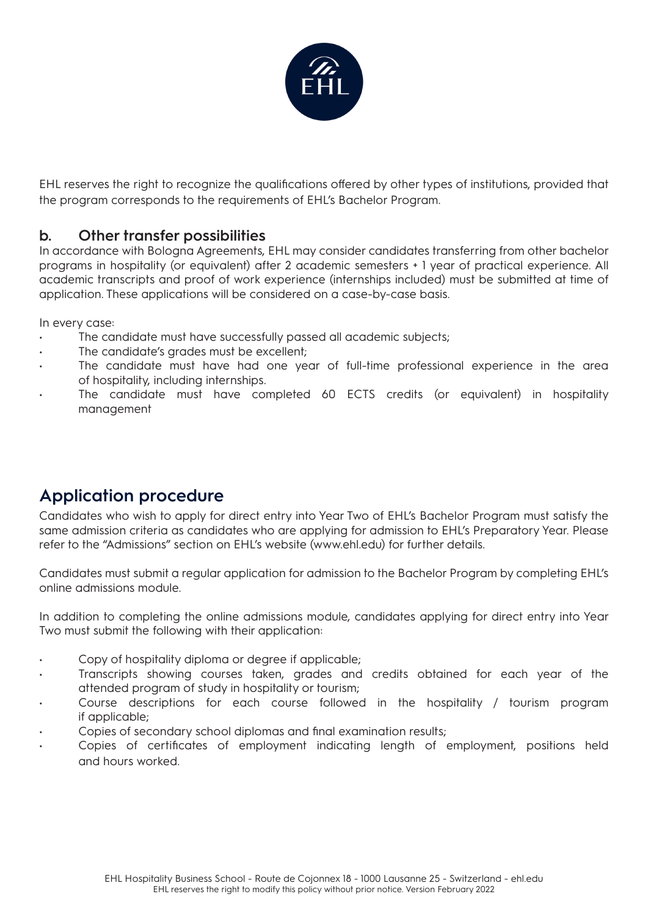

EHL reserves the right to recognize the qualifications offered by other types of institutions, provided that the program corresponds to the requirements of EHL's Bachelor Program.

#### **b. Other transfer possibilities**

In accordance with Bologna Agreements, EHL may consider candidates transferring from other bachelor programs in hospitality (or equivalent) after 2 academic semesters + 1 year of practical experience. All academic transcripts and proof of work experience (internships included) must be submitted at time of application. These applications will be considered on a case-by-case basis.

In every case:

- The candidate must have successfully passed all academic subjects;
- The candidate's grades must be excellent;
- The candidate must have had one year of full-time professional experience in the area of hospitality, including internships.
- The candidate must have completed 60 ECTS credits (or equivalent) in hospitality management

## **Application procedure**

Candidates who wish to apply for direct entry into Year Two of EHL's Bachelor Program must satisfy the same admission criteria as candidates who are applying for admission to EHL's Preparatory Year. Please refer to the "Admissions" section on EHL's website (www.ehl.edu) for further details.

Candidates must submit a regular application for admission to the Bachelor Program by completing EHL's online admissions module.

In addition to completing the online admissions module, candidates applying for direct entry into Year Two must submit the following with their application:

- Copy of hospitality diploma or degree if applicable;
- Transcripts showing courses taken, grades and credits obtained for each year of the attended program of study in hospitality or tourism;
- Course descriptions for each course followed in the hospitality / tourism program if applicable;
- Copies of secondary school diplomas and final examination results;
- Copies of certificates of employment indicating length of employment, positions held and hours worked.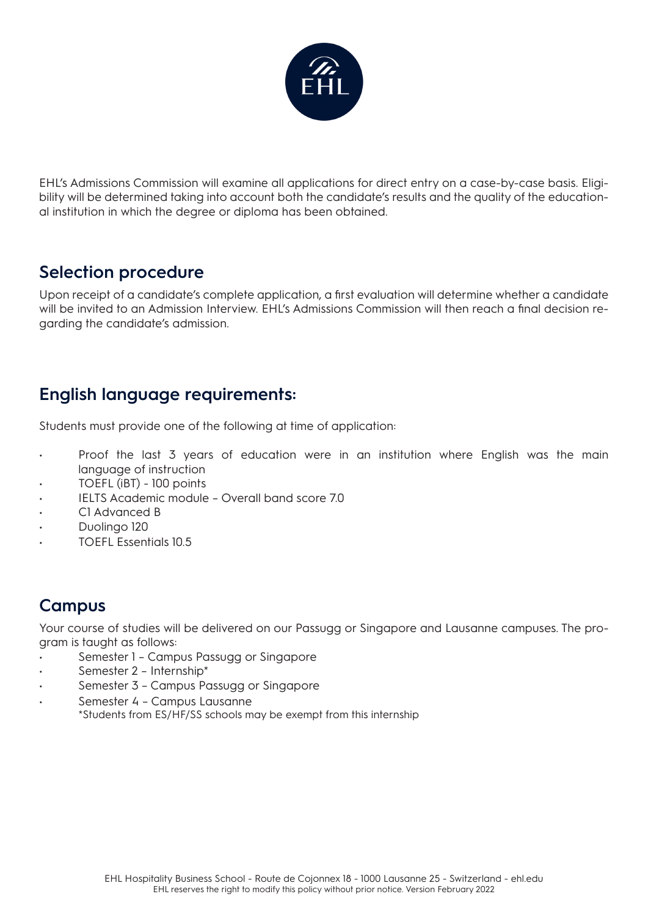

EHL's Admissions Commission will examine all applications for direct entry on a case-by-case basis. Eligibility will be determined taking into account both the candidate's results and the quality of the educational institution in which the degree or diploma has been obtained.

#### **Selection procedure**

Upon receipt of a candidate's complete application, a first evaluation will determine whether a candidate will be invited to an Admission Interview. EHL's Admissions Commission will then reach a final decision regarding the candidate's admission.

## **English language requirements:**

Students must provide one of the following at time of application:

- Proof the last 3 years of education were in an institution where English was the main language of instruction
- TOEFL (iBT) 100 points
- IELTS Academic module Overall band score 7.0
- C1 Advanced B
- Duolingo 120
- TOEFL Essentials 10.5

# **Campus**

Your course of studies will be delivered on our Passugg or Singapore and Lausanne campuses. The program is taught as follows:

- Semester 1 Campus Passugg or Singapore
- Semester 2 Internship\*
- Semester 3 Campus Passugg or Singapore
- Semester 4 Campus Lausanne \*Students from ES/HF/SS schools may be exempt from this internship